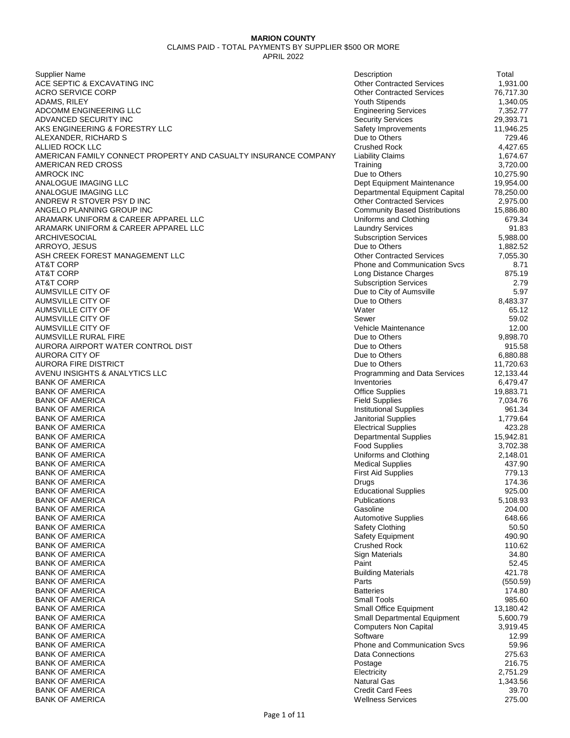| Supplier Name                                                   | Description                                                  | Total                  |
|-----------------------------------------------------------------|--------------------------------------------------------------|------------------------|
| ACE SEPTIC & EXCAVATING INC                                     | <b>Other Contracted Services</b>                             | 1,931.00               |
| <b>ACRO SERVICE CORP</b>                                        | <b>Other Contracted Services</b>                             | 76,717.30              |
| ADAMS, RILEY                                                    | Youth Stipends                                               | 1,340.05               |
| ADCOMM ENGINEERING LLC                                          | <b>Engineering Services</b>                                  | 7,352.77               |
| ADVANCED SECURITY INC                                           | <b>Security Services</b>                                     | 29,393.71              |
| AKS ENGINEERING & FORESTRY LLC                                  | Safety Improvements                                          | 11,946.25              |
| ALEXANDER, RICHARD S                                            | Due to Others                                                | 729.46                 |
| ALLIED ROCK LLC                                                 | <b>Crushed Rock</b>                                          | 4,427.65               |
| AMERICAN FAMILY CONNECT PROPERTY AND CASUALTY INSURANCE COMPANY | <b>Liability Claims</b>                                      | 1,674.67               |
| AMERICAN RED CROSS                                              | Training                                                     | 3,720.00               |
| <b>AMROCK INC</b><br>ANALOGUE IMAGING LLC                       | Due to Others                                                | 10,275.90              |
| ANALOGUE IMAGING LLC                                            | Dept Equipment Maintenance<br>Departmental Equipment Capital | 19,954.00<br>78,250.00 |
| ANDREW R STOVER PSY D INC                                       | <b>Other Contracted Services</b>                             | 2,975.00               |
| ANGELO PLANNING GROUP INC                                       | <b>Community Based Distributions</b>                         | 15,886.80              |
| ARAMARK UNIFORM & CAREER APPAREL LLC                            | Uniforms and Clothing                                        | 679.34                 |
| ARAMARK UNIFORM & CAREER APPAREL LLC                            | <b>Laundry Services</b>                                      | 91.83                  |
| ARCHIVESOCIAL                                                   | <b>Subscription Services</b>                                 | 5,988.00               |
| ARROYO, JESUS                                                   | Due to Others                                                | 1,882.52               |
| ASH CREEK FOREST MANAGEMENT LLC                                 | <b>Other Contracted Services</b>                             | 7,055.30               |
| AT&T CORP                                                       | <b>Phone and Communication Sycs</b>                          | 8.71                   |
| AT&T CORP                                                       | Long Distance Charges                                        | 875.19                 |
| AT&T CORP                                                       | <b>Subscription Services</b>                                 | 2.79                   |
| AUMSVILLE CITY OF                                               | Due to City of Aumsville                                     | 5.97                   |
| AUMSVILLE CITY OF                                               | Due to Others                                                | 8,483.37               |
| AUMSVILLE CITY OF                                               | Water                                                        | 65.12                  |
| AUMSVILLE CITY OF                                               | Sewer                                                        | 59.02                  |
| AUMSVILLE CITY OF<br>AUMSVILLE RURAL FIRE                       | Vehicle Maintenance<br>Due to Others                         | 12.00<br>9,898.70      |
| AURORA AIRPORT WATER CONTROL DIST                               | Due to Others                                                | 915.58                 |
| AURORA CITY OF                                                  | Due to Others                                                | 6,880.88               |
| <b>AURORA FIRE DISTRICT</b>                                     | Due to Others                                                | 11,720.63              |
| AVENU INSIGHTS & ANALYTICS LLC                                  | Programming and Data Services                                | 12,133.44              |
| <b>BANK OF AMERICA</b>                                          | Inventories                                                  | 6,479.47               |
| <b>BANK OF AMERICA</b>                                          | <b>Office Supplies</b>                                       | 19,883.71              |
| <b>BANK OF AMERICA</b>                                          | <b>Field Supplies</b>                                        | 7,034.76               |
| <b>BANK OF AMERICA</b>                                          | <b>Institutional Supplies</b>                                | 961.34                 |
| <b>BANK OF AMERICA</b>                                          | Janitorial Supplies                                          | 1,779.64               |
| <b>BANK OF AMERICA</b>                                          | <b>Electrical Supplies</b>                                   | 423.28                 |
| <b>BANK OF AMERICA</b>                                          | <b>Departmental Supplies</b>                                 | 15,942.81              |
| <b>BANK OF AMERICA</b>                                          | <b>Food Supplies</b>                                         | 3,702.38               |
| <b>BANK OF AMERICA</b><br><b>BANK OF AMERICA</b>                | Uniforms and Clothing                                        | 2,148.01<br>437.90     |
| <b>BANK OF AMERICA</b>                                          | <b>Medical Supplies</b><br><b>First Aid Supplies</b>         | 779.13                 |
| <b>BANK OF AMERICA</b>                                          | Drugs                                                        | 174.36                 |
| <b>BANK OF AMERICA</b>                                          | <b>Educational Supplies</b>                                  | 925.00                 |
| <b>BANK OF AMERICA</b>                                          | Publications                                                 | 5,108.93               |
| <b>BANK OF AMERICA</b>                                          | Gasoline                                                     | 204.00                 |
| <b>BANK OF AMERICA</b>                                          | <b>Automotive Supplies</b>                                   | 648.66                 |
| <b>BANK OF AMERICA</b>                                          | <b>Safety Clothing</b>                                       | 50.50                  |
| <b>BANK OF AMERICA</b>                                          | Safety Equipment                                             | 490.90                 |
| <b>BANK OF AMERICA</b>                                          | <b>Crushed Rock</b>                                          | 110.62                 |
| <b>BANK OF AMERICA</b>                                          | <b>Sign Materials</b>                                        | 34.80                  |
| <b>BANK OF AMERICA</b>                                          | Paint                                                        | 52.45                  |
| <b>BANK OF AMERICA</b>                                          | <b>Building Materials</b>                                    | 421.78                 |
| <b>BANK OF AMERICA</b>                                          | Parts                                                        | (550.59)               |
| <b>BANK OF AMERICA</b>                                          | <b>Batteries</b>                                             | 174.80                 |
| <b>BANK OF AMERICA</b><br><b>BANK OF AMERICA</b>                | <b>Small Tools</b><br>Small Office Equipment                 | 985.60<br>13,180.42    |
| <b>BANK OF AMERICA</b>                                          | Small Departmental Equipment                                 | 5,600.79               |
| <b>BANK OF AMERICA</b>                                          | <b>Computers Non Capital</b>                                 | 3,919.45               |
| <b>BANK OF AMERICA</b>                                          | Software                                                     | 12.99                  |
| <b>BANK OF AMERICA</b>                                          | <b>Phone and Communication Svcs</b>                          | 59.96                  |
| <b>BANK OF AMERICA</b>                                          | <b>Data Connections</b>                                      | 275.63                 |
| <b>BANK OF AMERICA</b>                                          | Postage                                                      | 216.75                 |
| <b>BANK OF AMERICA</b>                                          | Electricity                                                  | 2,751.29               |
| <b>BANK OF AMERICA</b>                                          | <b>Natural Gas</b>                                           | 1,343.56               |
| <b>BANK OF AMERICA</b>                                          | <b>Credit Card Fees</b>                                      | 39.70                  |
| <b>BANK OF AMERICA</b>                                          | <b>Wellness Services</b>                                     | 275.00                 |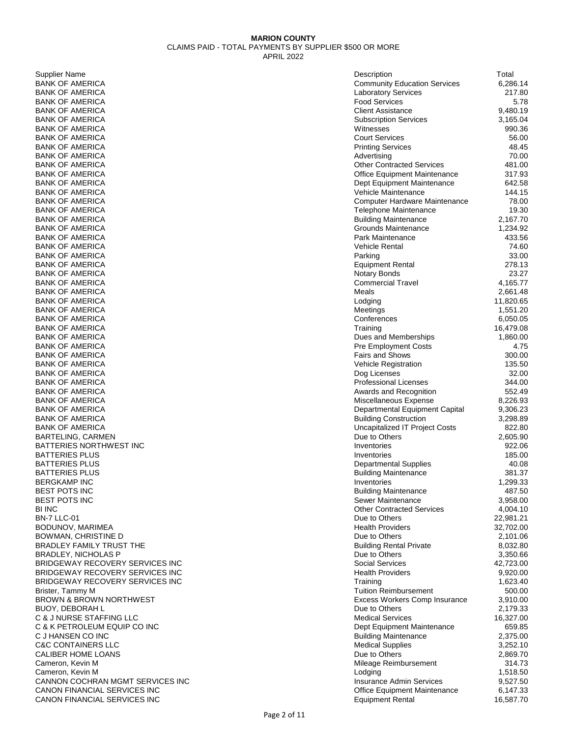| Supplier Name                                      | Description                                            | Total                |
|----------------------------------------------------|--------------------------------------------------------|----------------------|
| <b>BANK OF AMERICA</b>                             | <b>Community Education Services</b>                    | 6,286.14             |
| BANK OF AMERICA                                    | <b>Laboratory Services</b>                             | 217.80               |
| BANK OF AMERICA                                    | <b>Food Services</b>                                   | 5.78                 |
| BANK OF AMERICA                                    | <b>Client Assistance</b>                               | 9,480.19             |
| BANK OF AMERICA<br>BANK OF AMERICA                 | <b>Subscription Services</b><br>Witnesses              | 3,165.04<br>990.36   |
| BANK OF AMERICA                                    | <b>Court Services</b>                                  | 56.00                |
| BANK OF AMERICA                                    | <b>Printing Services</b>                               | 48.45                |
| BANK OF AMERICA                                    | Advertising                                            | 70.00                |
| BANK OF AMERICA                                    | <b>Other Contracted Services</b>                       | 481.00               |
| BANK OF AMERICA                                    | <b>Office Equipment Maintenance</b>                    | 317.93               |
| BANK OF AMERICA                                    | Dept Equipment Maintenance                             | 642.58               |
| BANK OF AMERICA                                    | Vehicle Maintenance                                    | 144.15               |
| BANK OF AMERICA                                    | Computer Hardware Maintenance                          | 78.00                |
| BANK OF AMERICA                                    | Telephone Maintenance                                  | 19.30                |
| BANK OF AMERICA                                    | <b>Building Maintenance</b>                            | 2,167.70             |
| BANK OF AMERICA                                    | Grounds Maintenance                                    | 1,234.92             |
| BANK OF AMERICA                                    | Park Maintenance                                       | 433.56               |
| BANK OF AMERICA                                    | <b>Vehicle Rental</b>                                  | 74.60                |
| BANK OF AMERICA<br>BANK OF AMERICA                 | Parking<br><b>Equipment Rental</b>                     | 33.00<br>278.13      |
| BANK OF AMERICA                                    | <b>Notary Bonds</b>                                    | 23.27                |
| BANK OF AMERICA                                    | <b>Commercial Travel</b>                               | 4,165.77             |
| BANK OF AMERICA                                    | Meals                                                  | 2,661.48             |
| BANK OF AMERICA                                    | Lodging                                                | 11,820.65            |
| BANK OF AMERICA                                    | Meetings                                               | 1,551.20             |
| BANK OF AMERICA                                    | Conferences                                            | 6,050.05             |
| BANK OF AMERICA                                    | Training                                               | 16,479.08            |
| BANK OF AMERICA                                    | Dues and Memberships                                   | 1,860.00             |
| BANK OF AMERICA                                    | <b>Pre Employment Costs</b>                            | 4.75                 |
| BANK OF AMERICA                                    | <b>Fairs and Shows</b>                                 | 300.00               |
| BANK OF AMERICA                                    | Vehicle Registration                                   | 135.50               |
| BANK OF AMERICA                                    | Dog Licenses                                           | 32.00                |
| BANK OF AMERICA<br>BANK OF AMERICA                 | <b>Professional Licenses</b>                           | 344.00<br>552.49     |
| BANK OF AMERICA                                    | Awards and Recognition<br>Miscellaneous Expense        | 8,226.93             |
| BANK OF AMERICA                                    | Departmental Equipment Capital                         | 9,306.23             |
| BANK OF AMERICA                                    | <b>Building Construction</b>                           | 3,298.89             |
| BANK OF AMERICA                                    | <b>Uncapitalized IT Project Costs</b>                  | 822.80               |
| BARTELING, CARMEN                                  | Due to Others                                          | 2,605.90             |
| BATTERIES NORTHWEST INC                            | Inventories                                            | 922.06               |
| BATTERIES PLUS                                     | Inventories                                            | 185.00               |
| BATTERIES PLUS                                     | <b>Departmental Supplies</b>                           | 40.08                |
| BATTERIES PLUS                                     | <b>Building Maintenance</b>                            | 381.37               |
| BERGKAMP INC                                       | Inventories                                            | 1,299.33             |
| BEST POTS INC                                      | <b>Building Maintenance</b>                            | 487.50               |
| BEST POTS INC<br>BI INC                            | Sewer Maintenance<br><b>Other Contracted Services</b>  | 3,958.00<br>4,004.10 |
| BN-7 LLC-01                                        | Due to Others                                          | 22,981.21            |
| BODUNOV, MARIMEA                                   | <b>Health Providers</b>                                | 32,702.00            |
| BOWMAN, CHRISTINE D                                | Due to Others                                          | 2,101.06             |
| BRADLEY FAMILY TRUST THE                           | <b>Building Rental Private</b>                         | 8,032.80             |
| BRADLEY, NICHOLAS P                                | Due to Others                                          | 3,350.66             |
| BRIDGEWAY RECOVERY SERVICES INC                    | <b>Social Services</b>                                 | 42,723.00            |
| BRIDGEWAY RECOVERY SERVICES INC                    | <b>Health Providers</b>                                | 9,920.00             |
| BRIDGEWAY RECOVERY SERVICES INC                    | Training                                               | 1,623.40             |
| Brister, Tammy M                                   | <b>Tuition Reimbursement</b>                           | 500.00               |
| BROWN & BROWN NORTHWEST                            | Excess Workers Comp Insurance                          | 3,910.00             |
| BUOY, DEBORAH L                                    | Due to Others                                          | 2,179.33             |
| C & J NURSE STAFFING LLC                           | <b>Medical Services</b>                                | 16,327.00            |
| C & K PETROLEUM EQUIP CO INC                       | Dept Equipment Maintenance                             | 659.85               |
| C J HANSEN CO INC<br><b>C&amp;C CONTAINERS LLC</b> | <b>Building Maintenance</b><br><b>Medical Supplies</b> | 2,375.00<br>3,252.10 |
| CALIBER HOME LOANS                                 | Due to Others                                          | 2,869.70             |
| Cameron, Kevin M                                   | Mileage Reimbursement                                  | 314.73               |
| Cameron, Kevin M                                   | Lodging                                                | 1,518.50             |
| CANNON COCHRAN MGMT SERVICES INC                   | Insurance Admin Services                               | 9,527.50             |
| CANON FINANCIAL SERVICES INC                       | Office Equipment Maintenance                           | 6,147.33             |
| CANON FINANCIAL SERVICES INC                       | <b>Equipment Rental</b>                                | 16,587.70            |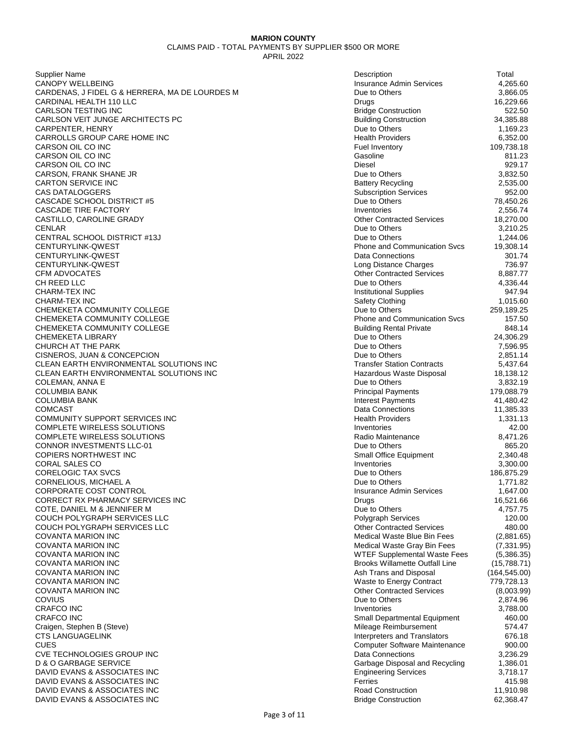Supplier Name Description Total CANOPY WELLBEING CARDENAS, J FIDEL G & HERRERA, MA DE LOURDES M CARDINAL HEALTH 110 LLC CARLSON TESTING INC CARLSON VEIT JUNGE ARCHITECTS PC CARPENTER, HENRY CARROLLS GROUP CARE HOME INC CARSON OIL CO INC CARSON OIL CO INC CARSON OIL CO INC CARSON, FRANK SHANE JR CARTON SERVICE INC **CAS DATALOGGERS** CASCADE SCHOOL DISTRICT #5 CASCADE TIRE FACTORY CASTILLO, CAROLINE GRADY CENLAR Due to Others 3,210.25 CENTRAL SCHOOL DISTRICT #13J CENTURYLINK-QWEST CENTURYLINK-QWEST CENTURYLINK-QWEST CFM ADVOCATES CH REED LLC And the set of the control of the control of the control of the control of the control of the control of the control of the control of the control of the control of the control of the control of the control of CHARM-TEX INC CHARM-TEX INC Safety Clothing 1,015.60 CHEMEKETA COMMUNITY COLLEGE CHEMEKETA COMMUNITY COLLEGE CHEMEKETA COMMUNITY COLLEGE CHEMEKETA LIBRARY CHURCH AT THE PARK CISNEROS, JUAN & CONCEPCION CLEAN EARTH ENVIRONMENTAL SOLUTIONS INC CLEAN EARTH ENVIRONMENTAL SOLUTIONS INC COLEMAN, ANNA E **COLUMBIA BANK** COLUMBIA BANK COMCAST Data Connections 11,385.33 COMMUNITY SUPPORT SERVICES INC COMPLETE WIRELESS SOLUTIONS COMPLETE WIRELESS SOLUTIONS CONNOR INVESTMENTS LLC-01 COPIERS NORTHWEST INC CORAL SALES CO CORELOGIC TAX SVCS CORNELIOUS, MICHAEL A CORPORATE COST CONTROL CORRECT RX PHARMACY SERVICES INC COTE, DANIEL M & JENNIFER M COUCH POLYGRAPH SERVICES LLC COUCH POLYGRAPH SERVICES LLC COVANTA MARION INC COVANTA MARION INC COVANTA MARION INC WTEF Supplemental Waste Fees (5,386.35) COVANTA MARION INC COVANTA MARION INC COVANTA MARION INC COVANTA MARION INC COVIUS Due to Others 2,874.96 CRAFCO INC Inventories 3,788.00 CRAFCO INC Small Departmental Equipment 460.00 Craigen, Stephen B (Steve) CTS LANGUAGELINK CUES Computer Software Maintenance 900.00 CVE TECHNOLOGIES GROUP INC D & O GARBAGE SERVICE DAVID EVANS & ASSOCIATES INC DAVID EVANS & ASSOCIATES INC DAVID EVANS & ASSOCIATES INC DAVID EVANS & ASSOCIATES INC

| Description                           | Total         |
|---------------------------------------|---------------|
|                                       |               |
| Insurance Admin Services              | 4,265.60      |
| Due to Others                         | 3,866.05      |
| Drugs                                 | 16,229.66     |
| <b>Bridge Construction</b>            | 522.50        |
|                                       | 34,385.88     |
| <b>Building Construction</b>          |               |
| Due to Others                         | 1,169.23      |
| <b>Health Providers</b>               | 6,352.00      |
| <b>Fuel Inventory</b>                 | 109,738.18    |
| Gasoline                              | 811.23        |
|                                       |               |
| <b>Diesel</b>                         | 929.17        |
| Due to Others                         | 3,832.50      |
| <b>Battery Recycling</b>              | 2,535.00      |
| <b>Subscription Services</b>          | 952.00        |
|                                       |               |
| Due to Others                         | 78,450.26     |
| Inventories                           | 2,556.74      |
| <b>Other Contracted Services</b>      | 18,270.00     |
| Due to Others                         | 3,210.25      |
| Due to Others                         | 1,244.06      |
|                                       |               |
| <b>Phone and Communication Svcs</b>   | 19,308.14     |
| <b>Data Connections</b>               | 301.74        |
| Long Distance Charges                 | 736.97        |
| <b>Other Contracted Services</b>      | 8,887.77      |
| Due to Others                         | 4,336.44      |
|                                       |               |
| <b>Institutional Supplies</b>         | 947.94        |
| Safety Clothing                       | 1,015.60      |
| Due to Others                         | 259,189.25    |
| Phone and Communication Svcs          | 157.50        |
|                                       |               |
| <b>Building Rental Private</b>        | 848.14        |
| Due to Others                         | 24,306.29     |
| Due to Others                         | 7,596.95      |
| Due to Others                         | 2,851.14      |
| <b>Transfer Station Contracts</b>     | 5,437.64      |
| Hazardous Waste Disposal              | 18,138.12     |
|                                       |               |
| Due to Others                         | 3,832.19      |
| <b>Principal Payments</b>             | 179,088.79    |
| <b>Interest Payments</b>              | 41,480.42     |
| Data Connections                      | 11,385.33     |
| <b>Health Providers</b>               | 1,331.13      |
| Inventories                           | 42.00         |
|                                       |               |
| Radio Maintenance                     | 8,471.26      |
| Due to Others                         | 865.20        |
| Small Office Equipment                | 2,340.48      |
| Inventories                           | 3,300.00      |
| Due to Others                         | 186,875.29    |
|                                       |               |
| Due to Others                         | 1,771.82      |
| Insurance Admin Services              | 1,647.00      |
| Drugs                                 | 16,521.66     |
| Due to Others                         | 4,757.75      |
| <b>Polygraph Services</b>             | 120.00        |
|                                       |               |
| <b>Other Contracted Services</b>      | 480.00        |
| Medical Waste Blue Bin Fees           | (2,881.65     |
| Medical Waste Gray Bin Fees           | (7,331.95     |
| <b>WTEF Supplemental Waste Fees</b>   | (5,386.35     |
| <b>Brooks Willamette Outfall Line</b> | (15,788.71)   |
|                                       |               |
| Ash Trans and Disposal                | (164, 545.00) |
| <b>Waste to Energy Contract</b>       | 779,728.13    |
| <b>Other Contracted Services</b>      | (8,003.99)    |
| Due to Others                         | 2,874.96      |
| Inventories                           | 3,788.00      |
| Small Departmental Equipment          | 460.00        |
|                                       |               |
| Mileage Reimbursement                 | 574.47        |
| <b>Interpreters and Translators</b>   | 676.18        |
| Computer Software Maintenance         | 900.00        |
| <b>Data Connections</b>               | 3,236.29      |
| Garbage Disposal and Recycling        | 1,386.01      |
|                                       |               |
| <b>Engineering Services</b>           | 3,718.17      |
| Ferries                               | 415.98        |
| Road Construction                     | 11,910.98     |
| <b>Bridge Construction</b>            | 62,368.47     |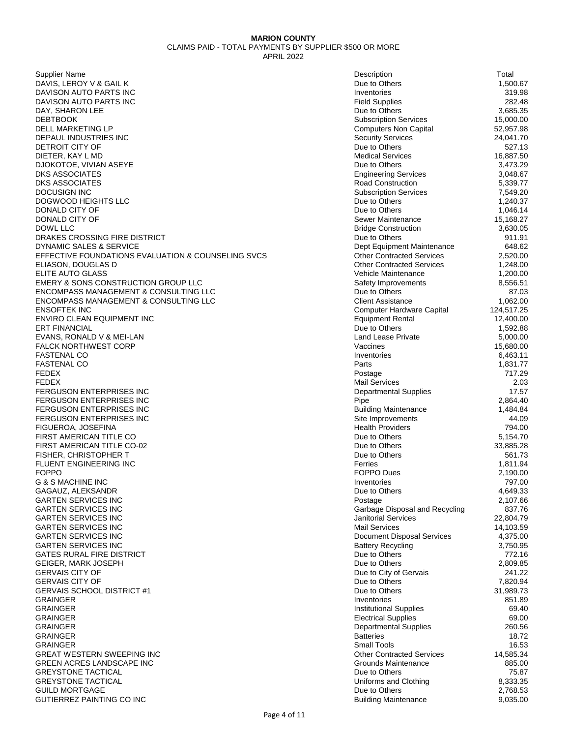Supplier Name Description Total DAVIS, LEROY V & GAIL K DAVISON AUTO PARTS INC DAVISON AUTO PARTS INC DAY, SHARON LEE DEBTBOOK Subscription Services 15,000.00 DELL MARKETING LP DEPAUL INDUSTRIES INC DETROIT CITY OF DIETER, KAY L MD DJOKOTOE, VIVIAN ASEYE DKS ASSOCIATES DKS ASSOCIATES DOCUSIGN INC Subscription Services 7,549.20 DOGWOOD HEIGHTS LLC DONALD CITY OF DONALD CITY OF DOWL LLC Bridge Construction 3,630.05 DRAKES CROSSING FIRE DISTRICT DYNAMIC SALES & SERVICE EFFECTIVE FOUNDATIONS EVALUATION & COUNSELING SVCS ELIASON, DOUGLAS D **ELITE AUTO GLASS** EMERY & SONS CONSTRUCTION GROUP LLC ENCOMPASS MANAGEMENT & CONSULTING LLC ENCOMPASS MANAGEMENT & CONSULTING LLC ENSOFTEK INC Computer Hardware Capital 124,517.25 ENVIRO CLEAN EQUIPMENT INC<br>ERT FINANCIAL ERT FINANCIAL Due to Others 1,592.88 EVANS, RONALD V & MEI-LAN **FALCK NORTHWEST CORP** FASTENAL CO Inventories 6,463.11 FASTENAL CO And the state of the state of the state of the state of the state of the state of the state of the state of the state of the state of the state of the state of the state of the state of the state of the state o FEDEX Postage 717.29 FEDEX Mail Services 2.03 **FERGUSON ENTERPRISES INC** FERGUSON ENTERPRISES INC FERGUSON ENTERPRISES INC FERGUSON ENTERPRISES INC FIGUEROA, JOSEFINA FIRST AMERICAN TITLE CO FIRST AMERICAN TITLE CO-02 FISHER, CHRISTOPHER T FLUENT ENGINEERING INC FOPPO FOPPO Dues 2,190.00 **G & S MACHINE INC** GAGAUZ, ALEKSANDR **GARTEN SERVICES INC GARTEN SERVICES INC GARTEN SERVICES INC GARTEN SERVICES INC GARTEN SERVICES INC GARTEN SERVICES INC GATES RURAL FIRE DISTRICT** GEIGER, MARK JOSEPH GERVAIS CITY OF **GERVAIS CITY OF** GERVAIS SCHOOL DISTRICT #1 GRAINGER Inventories 851.89 GRAINGER Institutional Supplies 69.40 GRAINGER Electrical Supplies 69.00 GRAINGER Departmental Supplies 260.56 GRAINGER Batteries 18.72 GRAINGER Small Tools 16.53 GREAT WESTERN SWEEPING INC GREEN ACRES LANDSCAPE INC GREYSTONE TACTICAL **GREYSTONE TACTICAL GUILD MORTGAGE** GUTIERREZ PAINTING CO INC

| Description                              | Total                 |
|------------------------------------------|-----------------------|
| Due to Others                            | 1,500.67              |
| Inventories                              | 319.98                |
| <b>Field Supplies</b><br>Due to Others   | 282.48<br>3,685.35    |
| <b>Subscription Services</b>             | 15,000.00             |
| <b>Computers Non Capital</b>             | 52,957.98             |
| Security Services                        | 24,041.70             |
| Due to Others                            | 527.13                |
| <b>Medical Services</b>                  | 16,887.50             |
| Due to Others                            | 3,473.29              |
| <b>Engineering Services</b>              | 3,048.67              |
| Road Construction                        | 5,339.77              |
| <b>Subscription Services</b>             | 7,549.20              |
| Due to Others                            | 1,240.37              |
| Due to Others<br>Sewer Maintenance       | 1,046.14<br>15,168.27 |
| <b>Bridge Construction</b>               | 3,630.05              |
| Due to Others                            | 911.91                |
| Dept Equipment Maintenance               | 648.62                |
| <b>Other Contracted Services</b>         | 2,520.00              |
| <b>Other Contracted Services</b>         | 1,248.00              |
| Vehicle Maintenance                      | 1,200.00              |
| Safety Improvements                      | 8,556.51              |
| Due to Others                            | 87.03                 |
| <b>Client Assistance</b>                 | 1,062.00              |
| Computer Hardware Capital                | 124,517.25            |
| <b>Equipment Rental</b><br>Due to Others | 12,400.00<br>1,592.88 |
| Land Lease Private                       | 5,000.00              |
| Vaccines                                 | 15,680.00             |
| Inventories                              | 6,463.11              |
| Parts                                    | 1,831.77              |
| Postage                                  | 717.29                |
| Mail Services                            | 2.03                  |
| Departmental Supplies                    | 17.57                 |
| Pipe<br><b>Building Maintenance</b>      | 2,864.40<br>1,484.84  |
| Site Improvements                        | 44.09                 |
| <b>Health Providers</b>                  | 794.00                |
| Due to Others                            | 5,154.70              |
| Due to Others                            | 33,885.28             |
| Due to Others                            | 561.73                |
| Ferries                                  | 1,811.94              |
| <b>FOPPO Dues</b>                        | 2,190.00              |
| Inventories                              | 797.00                |
| Due to Others<br>Postage                 | 4,649.33<br>2,107.66  |
| Garbage Disposal and Recycling           | 837.76                |
| Janitorial Services                      | 22,804.79             |
| Mail Services                            | 14,103.59             |
| Document Disposal Services               | 4,375.00              |
| <b>Battery Recycling</b>                 | 3,750.95              |
| Due to Others                            | 772.16                |
| Due to Others                            | 2,809.85              |
| Due to City of Gervais                   | 241.22                |
| Due to Others                            | 7,820.94              |
| Due to Others<br>Inventories             | 31,989.73<br>851.89   |
| <b>Institutional Supplies</b>            | 69.40                 |
| <b>Electrical Supplies</b>               | 69.00                 |
| Departmental Supplies                    | 260.56                |
| Batteries                                | 18.72                 |
| Small Tools                              | 16.53                 |
| <b>Other Contracted Services</b>         | 14,585.34             |
| Grounds Maintenance                      | 885.00                |
| Due to Others<br>Uniforms and Clothing   | 75.87<br>8,333.35     |
| Due to Others                            | 2,768.53              |
| <b>Building Maintenance</b>              | 9,035.00              |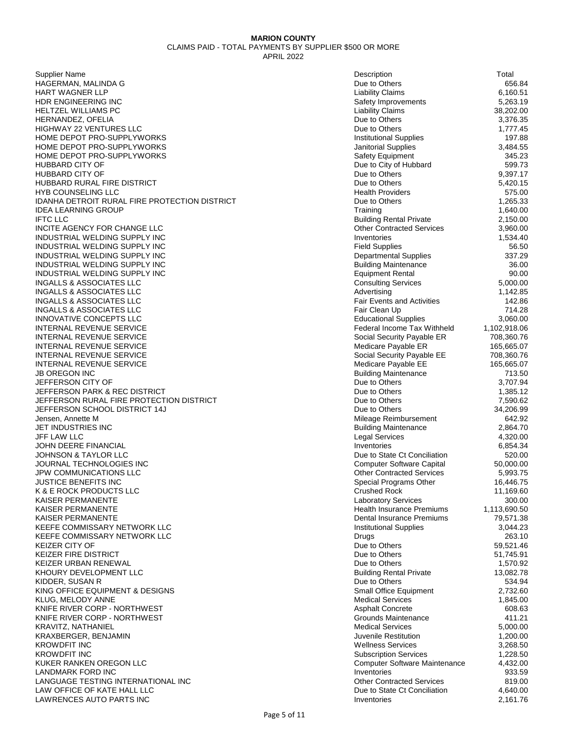Supplier Name Description Total HAGERMAN, MALINDA G HART WAGNER LLP HDR ENGINEERING INC HELTZEL WILLIAMS PC HERNANDEZ, OFELIA HIGHWAY 22 VENTURES LLC HOME DEPOT PRO-SUPPLYWORKS HOME DEPOT PRO-SUPPLYWORKS HOME DEPOT PRO-SUPPLYWORKS HUBBARD CITY OF HUBBARD CITY OF HUBBARD RURAL FIRE DISTRICT **HYB COUNSELING LLC** IDANHA DETROIT RURAL FIRE PROTECTION DISTRICT **IDEA LEARNING GROUP** IFTC LLC Building Rental Private 2,150.00 INCITE AGENCY FOR CHANGE LLC INDUSTRIAL WELDING SUPPLY INC INDUSTRIAL WELDING SUPPLY INC INDUSTRIAL WELDING SUPPLY INC INDUSTRIAL WELDING SUPPLY INC INDUSTRIAL WELDING SUPPLY INC INGALLS & ASSOCIATES LLC INGALLS & ASSOCIATES LLC INGALLS & ASSOCIATES LLC INGALLS & ASSOCIATES LLC INNOVATIVE CONCEPTS LLC **INTERNAL REVENUE SERVICE** INTERNAL REVENUE SERVICE INTERNAL REVENUE SERVICE INTERNAL REVENUE SERVICE INTERNAL REVENUE SERVICE **JB OREGON INC JEFFERSON CITY OF JEFFERSON PARK & REC DISTRICT** JEFFERSON RURAL FIRE PROTECTION DISTRICT JEFFERSON SCHOOL DISTRICT 14J Jensen, Annette M JET INDUSTRIES INC JFF LAW LLC Legal Services 4,320.00 JOHN DEERE FINANCIAL JOHNSON & TAYLOR LLC JOURNAL TECHNOLOGIES INC JPW COMMUNICATIONS LLC JUSTICE BENEFITS INC K & E ROCK PRODUCTS LLC KAISER PERMANENTE KAISER PERMANENTE KAISER PERMANENTE KEEFE COMMISSARY NETWORK LLC KEEFE COMMISSARY NETWORK LLC KEIZER CITY OF KEIZER FIRE DISTRICT KEIZER URBAN RENEWAL KHOURY DEVELOPMENT LLC KIDDER, SUSAN R KING OFFICE EQUIPMENT & DESIGNS KLUG, MELODY ANNE KNIFE RIVER CORP - NORTHWEST KNIFE RIVER CORP - NORTHWEST KRAVITZ, NATHANIEL KRAXBERGER, BENJAMIN<br>KROWDFIT INC KROWDFIT INC Wellness Services 3,268.50 KROWDFIT INC KUKER RANKEN OREGON LLC LANDMARK FORD INC LANGUAGE TESTING INTERNATIONAL INC LAW OFFICE OF KATE HALL LLC LAWRENCES AUTO PARTS INC

| Description                                                      | Total                     |
|------------------------------------------------------------------|---------------------------|
| Due to Others                                                    | 656.84                    |
| <b>Liability Claims</b>                                          | 6,160.51                  |
| Safety Improvements<br><b>Liability Claims</b>                   | 5,263.19<br>38,202.00     |
| Due to Others                                                    | 3,376.35                  |
| Due to Others                                                    | 1,777.45                  |
| <b>Institutional Supplies</b>                                    | 197.88                    |
| Janitorial Supplies                                              | 3,484.55                  |
| Safety Equipment                                                 | 345.23                    |
| Due to City of Hubbard                                           | 599.73                    |
| Due to Others<br>Due to Others                                   | 9,397.17<br>5,420.15      |
| <b>Health Providers</b>                                          | 575.00                    |
| Due to Others                                                    | 1,265.33                  |
| Training                                                         | 1,640.00                  |
| <b>Building Rental Private</b>                                   | 2,150.00                  |
| <b>Other Contracted Services</b>                                 | 3,960.00                  |
| Inventories                                                      | 1,534.40                  |
| <b>Field Supplies</b>                                            | 56.50                     |
| <b>Departmental Supplies</b>                                     | 337.29<br>36.00           |
| <b>Building Maintenance</b><br><b>Equipment Rental</b>           | 90.00                     |
| <b>Consulting Services</b>                                       | 5,000.00                  |
| Advertising                                                      | 1,142.85                  |
| <b>Fair Events and Activities</b>                                | 142.86                    |
| Fair Clean Up                                                    | 714.28                    |
| <b>Educational Supplies</b>                                      | 3,060.00                  |
| Federal Income Tax Withheld                                      | 1,102,918.06              |
| Social Security Payable ER                                       | 708,360.76                |
| Medicare Payable ER                                              | 165,665.07                |
| Social Security Payable EE<br>Medicare Payable EE                | 708,360.76<br>165,665.07  |
| <b>Building Maintenance</b>                                      | 713.50                    |
| Due to Others                                                    | 3,707.94                  |
| Due to Others                                                    | 1,385.12                  |
| Due to Others                                                    | 7,590.62                  |
| Due to Others                                                    | 34,206.99                 |
| Mileage Reimbursement                                            | 642.92                    |
| <b>Building Maintenance</b><br><b>Legal Services</b>             | 2,864.70                  |
| Inventories                                                      | 4,320.00<br>6,854.34      |
| Due to State Ct Conciliation                                     | 520.00                    |
| <b>Computer Software Capital</b>                                 | 50,000.00                 |
| <b>Other Contracted Services</b>                                 | 5,993.75                  |
| Special Programs Other                                           | 16,446.75                 |
| <b>Crushed Rock</b>                                              | 11,169.60                 |
| <b>Laboratory Services</b>                                       | 300.00                    |
| <b>Health Insurance Premiums</b><br>Dental Insurance Premiums    | 1,113,690.50<br>79,571.38 |
| <b>Institutional Supplies</b>                                    | 3,044.23                  |
| Drugs                                                            | 263.10                    |
| Due to Others                                                    | 59,521.46                 |
| Due to Others                                                    | 51,745.91                 |
| Due to Others                                                    | 1,570.92                  |
| <b>Building Rental Private</b>                                   | 13,082.78                 |
| Due to Others                                                    | 534.94                    |
| Small Office Equipment<br><b>Medical Services</b>                | 2,732.60<br>1,845.00      |
| <b>Asphalt Concrete</b>                                          | 608.63                    |
| Grounds Maintenance                                              | 411.21                    |
| <b>Medical Services</b>                                          | 5,000.00                  |
| Juvenile Restitution                                             | 1,200.00                  |
| <b>Wellness Services</b>                                         | 3,268.50                  |
| <b>Subscription Services</b>                                     | 1,228.50                  |
| Computer Software Maintenance                                    | 4,432.00                  |
| Inventories                                                      | 933.59                    |
| <b>Other Contracted Services</b><br>Due to State Ct Conciliation | 819.00<br>4,640.00        |
| Inventories                                                      | 2,161.76                  |
|                                                                  |                           |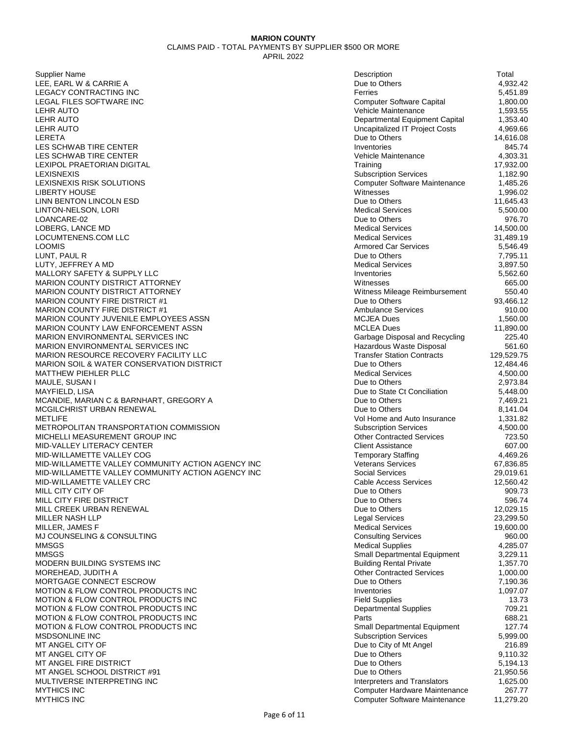Supplier Name Description Total LEE, EARL W & CARRIE A LEGACY CONTRACTING INC LEGAL FILES SOFTWARE INC LEHR AUTO Vehicle Maintenance 1,593.55 LEHR AUTO Departmental Equipment Capital 1,353.40 LEHR AUTO Uncapitalized IT Project Costs 4,969.66 LERETA Due to Others 14,616.08 LES SCHWAB TIRE CENTER LES SCHWAB TIRE CENTER LEXIPOL PRAETORIAN DIGITAL LEXISNEXIS Subscription Services 1,182.90 LEXISNEXIS RISK SOLUTIONS LIBERTY HOUSE LINN BENTON LINCOLN ESD LINTON-NELSON, LORI LOANCARE-02 Due to Others 976.70 LOBERG, LANCE MD LOCUMTENENS.COM LLC LOOMIS Armored Car Services 5,546.49 LUNT, PAUL R Due to Others 7,795.11 LUTY, JEFFREY A MD MALLORY SAFETY & SUPPLY LLC MARION COUNTY DISTRICT ATTORNEY MARION COUNTY DISTRICT ATTORNEY MARION COUNTY FIRE DISTRICT #1 MARION COUNTY FIRE DISTRICT #1 MARION COUNTY JUVENILE EMPLOYEES ASSN MARION COUNTY LAW ENFORCEMENT ASSN MARION ENVIRONMENTAL SERVICES INC MARION ENVIRONMENTAL SERVICES INC MARION RESOURCE RECOVERY FACILITY LLC MARION SOIL & WATER CONSERVATION DISTRICT MATTHEW PIEHLER PLLC MAULE, SUSAN I MAYFIELD, LISA Due to State Ct Conciliation 5,448.00 MCANDIE, MARIAN C & BARNHART, GREGORY A MCGILCHRIST URBAN RENEWAL METLIFE Vol Home and Auto Insurance 1,331.82 METROPOLITAN TRANSPORTATION COMMISSION MICHELLI MEASUREMENT GROUP INC MID-VALLEY LITERACY CENTER MID-WILLAMETTE VALLEY COG MID-WILLAMETTE VALLEY COMMUNITY ACTION AGENCY INC MID-WILLAMETTE VALLEY COMMUNITY ACTION AGENCY INC MID-WILLAMETTE VALLEY CRC MILL CITY CITY OF MILL CITY FIRE DISTRICT MILL CREEK URBAN RENEWAL MILLER NASH LLP MILLER, JAMES F MJ COUNSELING & CONSULTING MMSGS Medical Supplies 4,285.07 MMSGS STEERING AND THE STEERING STEERING SCHOOL SCHOOL SERVICES SMALL DEPARTMENTAL Equipment 3,229.11 MODERN BUILDING SYSTEMS INC MOREHEAD, JUDITH A MORTGAGE CONNECT ESCROW MOTION & FLOW CONTROL PRODUCTS INC MOTION & FLOW CONTROL PRODUCTS INC MOTION & FLOW CONTROL PRODUCTS INC MOTION & FLOW CONTROL PRODUCTS INC MOTION & FLOW CONTROL PRODUCTS INC MSDSONLINE INC MT ANGEL CITY OF MT ANGEL CITY OF MT ANGEL FIRE DISTRICT MT ANGEL SCHOOL DISTRICT #91 MULTIVERSE INTERPRETING INC MYTHICS INC 267.77 MYTHICS INC Computer Software Maintenance 11,279.20

| Description                           | Total      |
|---------------------------------------|------------|
| Due to Others                         | 4,932.42   |
| Ferries                               | 5,451.89   |
| <b>Computer Software Capital</b>      | 1,800.00   |
| Vehicle Maintenance                   | 1,593.55   |
| Departmental Equipment Capital        | 1,353.40   |
| <b>Uncapitalized IT Project Costs</b> | 4,969.66   |
| Due to Others                         | 14,616.08  |
| Inventories                           | 845.74     |
| Vehicle Maintenance                   | 4,303.31   |
| Training                              | 17,932.00  |
| <b>Subscription Services</b>          | 1,182.90   |
| Computer Software Maintenance         | 1,485.26   |
| Witnesses                             | 1,996.02   |
| Due to Others                         | 11,645.43  |
| <b>Medical Services</b>               | 5,500.00   |
| Due to Others                         | 976.70     |
| <b>Medical Services</b>               | 14,500.00  |
| <b>Medical Services</b>               | 31,489.19  |
| <b>Armored Car Services</b>           | 5,546.49   |
| Due to Others                         | 7,795.11   |
| <b>Medical Services</b>               | 3,897.50   |
| Inventories                           | 5,562.60   |
| Witnesses                             | 665.00     |
| Witness Mileage Reimbursement         | 550.40     |
| Due to Others                         | 93,466.12  |
| <b>Ambulance Services</b>             | 910.00     |
| MCJEA Dues                            | 1,560.00   |
| <b>MCLEA Dues</b>                     | 11,890.00  |
| Garbage Disposal and Recycling        | 225.40     |
| Hazardous Waste Disposal              | 561.60     |
| <b>Transfer Station Contracts</b>     | 129,529.75 |
| Due to Others                         | 12,484.46  |
| <b>Medical Services</b>               | 4,500.00   |
| Due to Others                         | 2,973.84   |
| Due to State Ct Conciliation          | 5,448.00   |
| Due to Others                         | 7,469.21   |
| Due to Others                         | 8,141.04   |
| Vol Home and Auto Insurance           | 1,331.82   |
| <b>Subscription Services</b>          | 4,500.00   |
| <b>Other Contracted Services</b>      | 723.50     |
| <b>Client Assistance</b>              | 607.00     |
| <b>Temporary Staffing</b>             | 4,469.26   |
| <b>Veterans Services</b>              | 67,836.85  |
| Social Services                       | 29,019.61  |
| <b>Cable Access Services</b>          | 12,560.42  |
| Due to Others                         | 909.73     |
| Due to Others                         | 596.74     |
| Due to Others                         | 12,029.15  |
| <b>Legal Services</b>                 | 23,299.50  |
| <b>Medical Services</b>               | 19,600.00  |
| <b>Consulting Services</b>            | 960.00     |
| <b>Medical Supplies</b>               | 4,285.07   |
| Small Departmental Equipment          | 3,229.11   |
| <b>Building Rental Private</b>        | 1,357.70   |
| <b>Other Contracted Services</b>      | 1,000.00   |
| Due to Others                         | 7,190.36   |
| Inventories                           | 1,097.07   |
| <b>Field Supplies</b>                 | 13.73      |
| <b>Departmental Supplies</b>          | 709.21     |
| Parts                                 | 688.21     |
| Small Departmental Equipment          | 127.74     |
| <b>Subscription Services</b>          | 5,999.00   |
| Due to City of Mt Angel               | 216.89     |
| Due to Others                         | 9,110.32   |
| Due to Others                         | 5,194.13   |
| Due to Others                         | 21,950.56  |
| Interpreters and Translators          | 1,625.00   |
| Computer Hardware Maintenance         | 267.77     |
| Computer Software Maintenance         | 11,279.20  |
|                                       |            |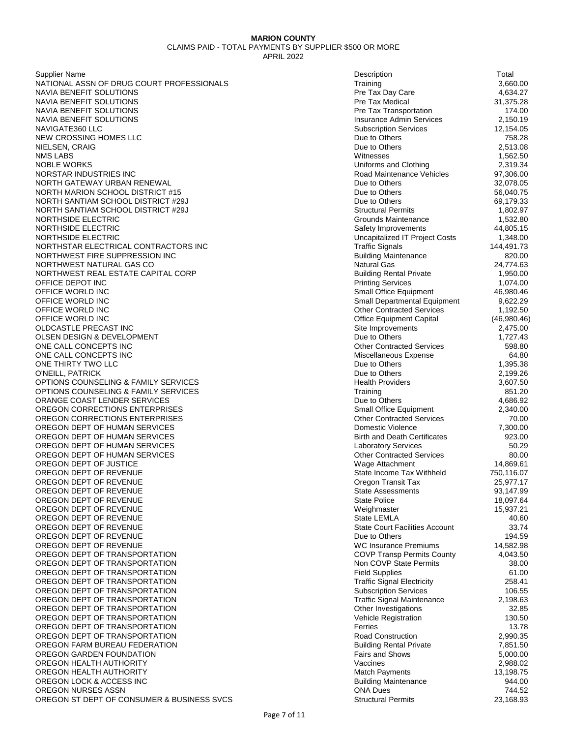Supplier Name Description Total NATIONAL ASSN OF DRUG COURT PROFESSIONALS NAVIA BENEFIT SOLUTIONS NAVIA BENEFIT SOLUTIONS NAVIA BENEFIT SOLUTIONS NAVIA BENEFIT SOLUTIONS NAVIGATE360 LLC NEW CROSSING HOMES LLC NIELSEN, CRAIG NMS LABS Witnesses 1,562.50 NOBLE WORKS NORSTAR INDUSTRIES INC NORTH GATEWAY URBAN RENEWAL NORTH MARION SCHOOL DISTRICT #15 NORTH SANTIAM SCHOOL DISTRICT #29J NORTH SANTIAM SCHOOL DISTRICT #29J NORTHSIDE ELECTRIC NORTHSIDE ELECTRIC NORTHSIDE ELECTRIC NORTHSTAR ELECTRICAL CONTRACTORS INC NORTHWEST FIRE SUPPRESSION INC NORTHWEST NATURAL GAS CO NORTHWEST REAL ESTATE CAPITAL CORP OFFICE DEPOT INC OFFICE WORLD INC OFFICE WORLD INC OFFICE WORLD INC OFFICE WORLD INC OLDCASTLE PRECAST INC OLSEN DESIGN & DEVELOPMENT ONE CALL CONCEPTS INC ONE CALL CONCEPTS INC ONE THIRTY TWO LLC O'NEILL, PATRICK OPTIONS COUNSELING & FAMILY SERVICES OPTIONS COUNSELING & FAMILY SERVICES ORANGE COAST LENDER SERVICES OREGON CORRECTIONS ENTERPRISES OREGON CORRECTIONS ENTERPRISES OREGON DEPT OF HUMAN SERVICES OREGON DEPT OF HUMAN SERVICES OREGON DEPT OF HUMAN SERVICES OREGON DEPT OF HUMAN SERVICES OREGON DEPT OF JUSTICE OREGON DEPT OF REVENUE OREGON DEPT OF REVENUE OREGON DEPT OF REVENUE OREGON DEPT OF REVENUE OREGON DEPT OF REVENUE OREGON DEPT OF REVENUE OREGON DEPT OF REVENUE OREGON DEPT OF REVENUE OREGON DEPT OF REVENUE OREGON DEPT OF TRANSPORTATION OREGON DEPT OF TRANSPORTATION OREGON DEPT OF TRANSPORTATION OREGON DEPT OF TRANSPORTATION OREGON DEPT OF TRANSPORTATION OREGON DEPT OF TRANSPORTATION OREGON DEPT OF TRANSPORTATION OREGON DEPT OF TRANSPORTATION OREGON DEPT OF TRANSPORTATION OREGON DEPT OF TRANSPORTATION OREGON FARM BUREAU FEDERATION OREGON GARDEN FOUNDATION OREGON HEALTH AUTHORITY OREGON HEALTH AUTHORITY OREGON LOCK & ACCESS INC OREGON NURSES ASSN OREGON ST DEPT OF CONSUMER & BUSINESS SVCS

| Description                                                     | Total                 |
|-----------------------------------------------------------------|-----------------------|
| Training                                                        | 3,660.00              |
| Pre Tax Day Care                                                | 4,634.27              |
| Pre Tax Medical                                                 | 31,375.28             |
| Pre Tax Transportation                                          | 174.00                |
| <b>Insurance Admin Services</b><br><b>Subscription Services</b> | 2,150.19<br>12,154.05 |
| Due to Others                                                   |                       |
| Due to Others                                                   | 758.28<br>2,513.08    |
| Witnesses                                                       | 1,562.50              |
| Uniforms and Clothing                                           | 2,319.34              |
| Road Maintenance Vehicles                                       | 97,306.00             |
| Due to Others                                                   | 32,078.05             |
| Due to Others                                                   | 56,040.75             |
| Due to Others                                                   | 69,179.33             |
| <b>Structural Permits</b>                                       | 1,802.97              |
| Grounds Maintenance                                             | 1,532.80              |
| Safety Improvements                                             | 44,805.15             |
| Uncapitalized IT Project Costs                                  | 1,348.00              |
| <b>Traffic Signals</b>                                          | 144,491.73            |
| <b>Building Maintenance</b>                                     | 820.00                |
| Natural Gas                                                     | 24,774.63             |
| <b>Building Rental Private</b>                                  | 1,950.00              |
| <b>Printing Services</b>                                        | 1,074.00              |
| Small Office Equipment                                          | 46,980.46             |
| Small Departmental Equipment                                    | 9,622.29              |
| <b>Other Contracted Services</b>                                | 1,192.50              |
| Office Equipment Capital                                        | (46,980.46)           |
| Site Improvements                                               | 2,475.00              |
| Due to Others                                                   | 1,727.43              |
| <b>Other Contracted Services</b>                                | 598.80                |
| Miscellaneous Expense                                           | 64.80                 |
| Due to Others                                                   | 1,395.38              |
| Due to Others                                                   | 2,199.26              |
| <b>Health Providers</b>                                         | 3,607.50              |
| Training                                                        | 851.20                |
| Due to Others                                                   | 4,686.92              |
| Small Office Equipment                                          | 2,340.00              |
| <b>Other Contracted Services</b><br>Domestic Violence           | 70.00                 |
| <b>Birth and Death Certificates</b>                             | 7,300.00<br>923.00    |
| <b>Laboratory Services</b>                                      | 50.29                 |
| <b>Other Contracted Services</b>                                | 80.00                 |
| Wage Attachment                                                 | 14,869.61             |
| State Income Tax Withheld                                       | 750,116.07            |
| Oregon Transit Tax                                              | 25,977.17             |
| <b>State Assessments</b>                                        | 93,147.99             |
| <b>State Police</b>                                             | 18,097.64             |
| Weighmaster                                                     | 15,937.21             |
| State LEMLA                                                     | 40.60                 |
| <b>State Court Facilities Account</b>                           | 33.74                 |
| Due to Others                                                   | 194.59                |
| <b>WC Insurance Premiums</b>                                    | 14,582.98             |
| <b>COVP Transp Permits County</b>                               | 4,043.50              |
| Non COVP State Permits                                          | 38.00                 |
| <b>Field Supplies</b>                                           | 61.00                 |
| <b>Traffic Signal Electricity</b>                               | 258.41                |
| <b>Subscription Services</b>                                    | 106.55                |
| <b>Traffic Signal Maintenance</b>                               | 2,198.63              |
| Other Investigations                                            | 32.85                 |
| <b>Vehicle Registration</b>                                     | 130.50                |
| Ferries                                                         | 13.78                 |
| Road Construction                                               | 2,990.35              |
| <b>Building Rental Private</b>                                  | 7,851.50              |
| <b>Fairs and Shows</b>                                          | 5,000.00              |
| Vaccines                                                        | 2,988.02              |
| <b>Match Payments</b>                                           | 13,198.75             |
| <b>Building Maintenance</b>                                     | 944.00                |
| <b>ONA Dues</b>                                                 | 744.52                |
| <b>Structural Permits</b>                                       | 23,168.93             |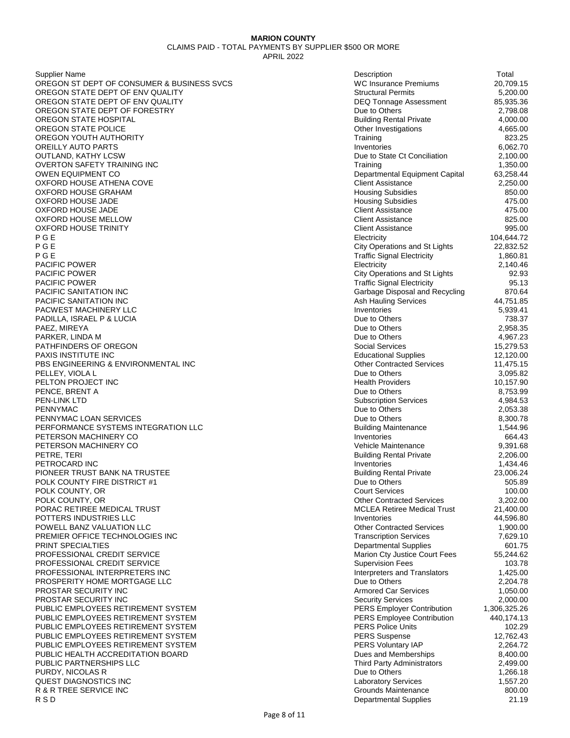Supplier Name Description Total OREGON ST DEPT OF CONSUMER & BUSINESS SVCS OREGON STATE DEPT OF ENV QUALITY OREGON STATE DEPT OF ENV QUALITY OREGON STATE DEPT OF FORESTRY OREGON STATE HOSPITAL OREGON STATE POLICE OREGON YOUTH AUTHORITY OREILLY AUTO PARTS **OUTLAND, KATHY LCSW** OVERTON SAFETY TRAINING INC OWEN EQUIPMENT CO OXFORD HOUSE ATHENA COVE **OXFORD HOUSE GRAHAM** OXFORD HOUSE JADE OXFORD HOUSE JADE OXFORD HOUSE MELLOW OXFORD HOUSE TRINITY P G E Electricity 104,644.72 P G E City Operations and St Lights 22,832.52 P G E Traffic Signal Electricity 1,860.81 PACIFIC POWER PACIFIC POWER PACIFIC POWER PACIFIC SANITATION INC PACIFIC SANITATION INC PACWEST MACHINERY LLC PADILLA, ISRAEL P & LUCIA<br>PAEZ. MIREYA PAEZ, MIREYA Due to Others 2,958.35 PARKER, LINDA M PATHFINDERS OF OREGON PAXIS INSTITUTE INC PBS ENGINEERING & ENVIRONMENTAL INC PELLEY, VIOLA L PELTON PROJECT INC PENCE, BRENT A PEN-LINK LTD Subscription Services 4,984.53 PENNYMAC 2,053.38 PENNYMAC LOAN SERVICES PERFORMANCE SYSTEMS INTEGRATION LLC PETERSON MACHINERY CO PETERSON MACHINERY CO PETRE, TERI Building Rental Private 2,206.00 PETROCARD INC PIONEER TRUST BANK NA TRUSTEE POLK COUNTY FIRE DISTRICT #1 POLK COUNTY, OR POLK COUNTY, OR PORAC RETIREE MEDICAL TRUST POTTERS INDUSTRIES LLC POWELL BANZ VALUATION LLC PREMIER OFFICE TECHNOLOGIES INC PRINT SPECIALTIES PROFESSIONAL CREDIT SERVICE PROFESSIONAL CREDIT SERVICE PROFESSIONAL INTERPRETERS INC PROSPERITY HOME MORTGAGE LLC PROSTAR SECURITY INC PROSTAR SECURITY INC PUBLIC EMPLOYEES RETIREMENT SYSTEM PUBLIC EMPLOYEES RETIREMENT SYSTEM PUBLIC EMPLOYEES RETIREMENT SYSTEM PUBLIC EMPLOYEES RETIREMENT SYSTEM PUBLIC EMPLOYEES RETIREMENT SYSTEM PUBLIC HEALTH ACCREDITATION BOARD PUBLIC PARTNERSHIPS LLC PURDY, NICOLAS R QUEST DIAGNOSTICS INC R & R TREE SERVICE INC R S D Departmental Supplies 21.19

| Description                                                        | Total                |
|--------------------------------------------------------------------|----------------------|
| <b>WC Insurance Premiums</b>                                       | 20,709.15            |
| <b>Structural Permits</b>                                          | 5,200.00             |
| <b>DEQ Tonnage Assessment</b>                                      | 85,935.36            |
| Due to Others<br><b>Building Rental Private</b>                    | 2,798.08             |
| Other Investigations                                               | 4,000.00<br>4,665.00 |
| Training                                                           | 823.25               |
| Inventories                                                        | 6,062.70             |
| Due to State Ct Conciliation                                       | 2,100.00             |
| Training                                                           | 1,350.00             |
| Departmental Equipment Capital                                     | 63,258.44            |
| <b>Client Assistance</b>                                           | 2,250.00             |
| <b>Housing Subsidies</b>                                           | 850.00               |
| <b>Housing Subsidies</b>                                           | 475.00               |
| <b>Client Assistance</b>                                           | 475.00               |
| <b>Client Assistance</b>                                           | 825.00               |
| <b>Client Assistance</b>                                           | 995.00               |
| Electricity                                                        | 104,644.72           |
| <b>City Operations and St Lights</b>                               | 22,832.52            |
| <b>Traffic Signal Electricity</b>                                  | 1,860.81             |
| Electricity                                                        | 2,140.46<br>92.93    |
| City Operations and St Lights<br><b>Traffic Signal Electricity</b> | 95.13                |
| Garbage Disposal and Recycling                                     | 870.64               |
| Ash Hauling Services                                               | 44,751.85            |
| Inventories                                                        | 5,939.41             |
| Due to Others                                                      | 738.37               |
| Due to Others                                                      | 2,958.35             |
| Due to Others                                                      | 4,967.23             |
| <b>Social Services</b>                                             | 15,279.53            |
| <b>Educational Supplies</b>                                        | 12,120.00            |
| <b>Other Contracted Services</b>                                   | 11,475.15            |
| Due to Others                                                      | 3,095.82             |
| <b>Health Providers</b>                                            | 10,157.90            |
| Due to Others                                                      | 8,753.99             |
| <b>Subscription Services</b>                                       | 4,984.53             |
| Due to Others<br>Due to Others                                     | 2,053.38             |
| <b>Building Maintenance</b>                                        | 8,300.78<br>1,544.96 |
| Inventories                                                        | 664.43               |
| Vehicle Maintenance                                                | 9,391.68             |
| <b>Building Rental Private</b>                                     | 2,206.00             |
| Inventories                                                        | 1,434.46             |
| <b>Building Rental Private</b>                                     | 23,006.24            |
| Due to Others                                                      | 505.89               |
| <b>Court Services</b>                                              | 100.00               |
| <b>Other Contracted Services</b>                                   | 3,202.00             |
| <b>MCLEA Retiree Medical Trust</b>                                 | 21,400.00            |
| Inventories                                                        | 44,596.80            |
| <b>Other Contracted Services</b>                                   | 1,900.00             |
| <b>Transcription Services</b>                                      | 7,629.10<br>601.75   |
| <b>Departmental Supplies</b><br>Marion Cty Justice Court Fees      | 55,244.62            |
| <b>Supervision Fees</b>                                            | 103.78               |
| <b>Interpreters and Translators</b>                                | 1,425.00             |
| Due to Others                                                      | 2,204.78             |
| <b>Armored Car Services</b>                                        | 1,050.00             |
| <b>Security Services</b>                                           | 2,000.00             |
| <b>PERS Employer Contribution</b>                                  | 1,306,325.26         |
| PERS Employee Contribution                                         | 440,174.13           |
| <b>PERS Police Units</b>                                           | 102.29               |
| <b>PERS Suspense</b>                                               | 12,762.43            |
| PERS Voluntary IAP                                                 | 2,264.72             |
| Dues and Memberships                                               | 8,400.00             |
| Third Party Administrators                                         | 2,499.00             |
| Due to Others                                                      | 1,266.18             |
| <b>Laboratory Services</b><br>Grounds Maintenance                  | 1,557.20<br>800.00   |
| <b>Departmental Supplies</b>                                       | 21.19                |
|                                                                    |                      |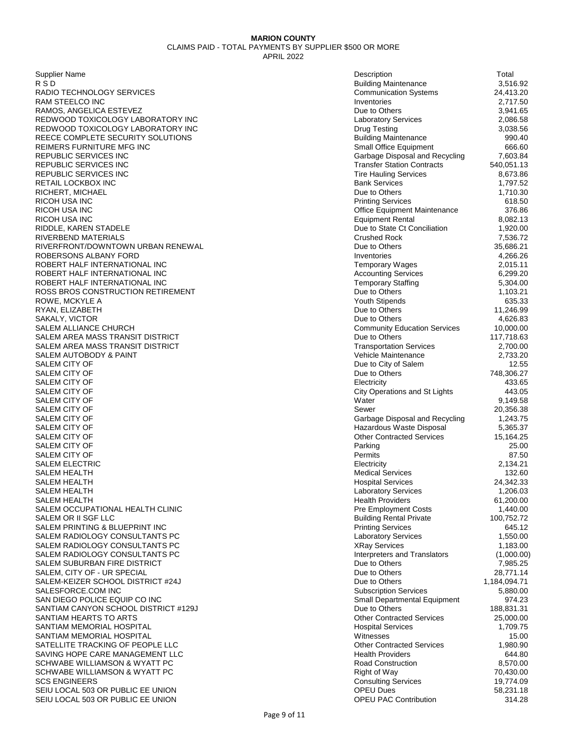| Supplier Name                        | Description                         | Total        |
|--------------------------------------|-------------------------------------|--------------|
| R S D                                | <b>Building Maintenance</b>         | 3,516.92     |
| RADIO TECHNOLOGY SERVICES            | <b>Communication Systems</b>        | 24,413.20    |
| RAM STEELCO INC                      | Inventories                         | 2,717.50     |
| RAMOS, ANGELICA ESTEVEZ              | Due to Others                       | 3,941.65     |
| REDWOOD TOXICOLOGY LABORATORY INC    | <b>Laboratory Services</b>          | 2,086.58     |
| REDWOOD TOXICOLOGY LABORATORY INC    | Drug Testing                        | 3,038.56     |
| REECE COMPLETE SECURITY SOLUTIONS    | <b>Building Maintenance</b>         | 990.40       |
| REIMERS FURNITURE MFG INC            | Small Office Equipment              | 666.60       |
| REPUBLIC SERVICES INC                | Garbage Disposal and Recycling      | 7,603.84     |
| REPUBLIC SERVICES INC                | <b>Transfer Station Contracts</b>   | 540,051.13   |
| REPUBLIC SERVICES INC                | <b>Tire Hauling Services</b>        | 8,673.86     |
| RETAIL LOCKBOX INC                   | <b>Bank Services</b>                | 1,797.52     |
| RICHERT, MICHAEL                     | Due to Others                       | 1,710.30     |
| RICOH USA INC                        | <b>Printing Services</b>            | 618.50       |
| RICOH USA INC                        | <b>Office Equipment Maintenance</b> | 376.86       |
| RICOH USA INC                        | <b>Equipment Rental</b>             | 8,082.13     |
| RIDDLE, KAREN STADELE                | Due to State Ct Conciliation        | 1,920.00     |
| RIVERBEND MATERIALS                  | Crushed Rock                        | 7,536.72     |
| RIVERFRONT/DOWNTOWN URBAN RENEWAL    | Due to Others                       | 35,686.21    |
| ROBERSONS ALBANY FORD                | Inventories                         | 4,266.26     |
| ROBERT HALF INTERNATIONAL INC        | <b>Temporary Wages</b>              | 2,015.11     |
| ROBERT HALF INTERNATIONAL INC        | <b>Accounting Services</b>          | 6,299.20     |
| ROBERT HALF INTERNATIONAL INC        | <b>Temporary Staffing</b>           | 5,304.00     |
| ROSS BROS CONSTRUCTION RETIREMENT    | Due to Others                       | 1,103.21     |
| ROWE, MCKYLE A                       | Youth Stipends                      | 635.33       |
| RYAN, ELIZABETH                      | Due to Others                       | 11,246.99    |
| SAKALY, VICTOR                       | Due to Others                       | 4,626.83     |
| SALEM ALLIANCE CHURCH                | <b>Community Education Services</b> | 10,000.00    |
| SALEM AREA MASS TRANSIT DISTRICT     | Due to Others                       | 117,718.63   |
| SALEM AREA MASS TRANSIT DISTRICT     | <b>Transportation Services</b>      | 2,700.00     |
| SALEM AUTOBODY & PAINT               | Vehicle Maintenance                 | 2,733.20     |
| SALEM CITY OF                        | Due to City of Salem                | 12.55        |
| SALEM CITY OF                        | Due to Others                       | 748,306.27   |
| SALEM CITY OF                        | Electricity                         | 433.65       |
| SALEM CITY OF                        | City Operations and St Lights       | 443.05       |
| SALEM CITY OF                        | Water                               | 9,149.58     |
| SALEM CITY OF                        | Sewer                               | 20,356.38    |
| SALEM CITY OF                        | Garbage Disposal and Recycling      | 1,243.75     |
| SALEM CITY OF                        | Hazardous Waste Disposal            | 5,365.37     |
| SALEM CITY OF                        | <b>Other Contracted Services</b>    | 15,164.25    |
| SALEM CITY OF                        | Parking                             | 25.00        |
| SALEM CITY OF                        | Permits                             | 87.50        |
| SALEM ELECTRIC                       | Electricity                         | 2,134.21     |
| SALEM HEALTH                         | <b>Medical Services</b>             | 132.60       |
| SALEM HEALTH                         | <b>Hospital Services</b>            | 24,342.33    |
| SALEM HEALTH                         | <b>Laboratory Services</b>          | 1,206.03     |
| SALEM HEALTH                         | <b>Health Providers</b>             | 61,200.00    |
| SALEM OCCUPATIONAL HEALTH CLINIC     | <b>Pre Employment Costs</b>         | 1,440.00     |
| SALEM OR II SGF LLC                  | <b>Building Rental Private</b>      | 100,752.72   |
| SALEM PRINTING & BLUEPRINT INC       | <b>Printing Services</b>            | 645.12       |
| SALEM RADIOLOGY CONSULTANTS PC       | <b>Laboratory Services</b>          | 1,550.00     |
| SALEM RADIOLOGY CONSULTANTS PC       | <b>XRay Services</b>                | 1,183.00     |
| SALEM RADIOLOGY CONSULTANTS PC       | Interpreters and Translators        | (1,000.00)   |
| SALEM SUBURBAN FIRE DISTRICT         | Due to Others                       | 7,985.25     |
| SALEM, CITY OF - UR SPECIAL          | Due to Others                       | 28,771.14    |
| SALEM-KEIZER SCHOOL DISTRICT #24J    | Due to Others                       | 1,184,094.71 |
| SALESFORCE.COM INC                   | <b>Subscription Services</b>        | 5,880.00     |
| SAN DIEGO POLICE EQUIP CO INC        | Small Departmental Equipment        | 974.23       |
| SANTIAM CANYON SCHOOL DISTRICT #129J | Due to Others                       | 188,831.31   |
| SANTIAM HEARTS TO ARTS               | <b>Other Contracted Services</b>    | 25,000.00    |
| SANTIAM MEMORIAL HOSPITAL            | <b>Hospital Services</b>            | 1,709.75     |
| SANTIAM MEMORIAL HOSPITAL            | Witnesses                           | 15.00        |
| SATELLITE TRACKING OF PEOPLE LLC     | <b>Other Contracted Services</b>    | 1,980.90     |
| SAVING HOPE CARE MANAGEMENT LLC      | <b>Health Providers</b>             | 644.80       |
| SCHWABE WILLIAMSON & WYATT PC        | <b>Road Construction</b>            | 8,570.00     |
| SCHWABE WILLIAMSON & WYATT PC        | Right of Way                        | 70,430.00    |
| <b>SCS ENGINEERS</b>                 | <b>Consulting Services</b>          | 19,774.09    |
| SEIU LOCAL 503 OR PUBLIC EE UNION    | <b>OPEU Dues</b>                    | 58,231.18    |
| SEIU LOCAL 503 OR PUBLIC EE UNION    | <b>OPEU PAC Contribution</b>        | 314.28       |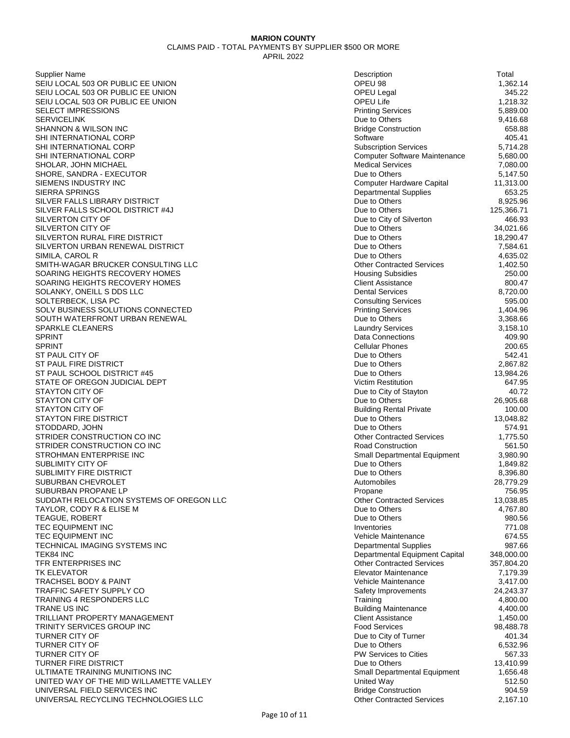Supplier Name Description Total SEIU LOCAL 503 OR PUBLIC EE UNION SEIU LOCAL 503 OR PUBLIC EE UNION SEIU LOCAL 503 OR PUBLIC EE UNION SELECT IMPRESSIONS SERVICELINK Due to Others 9,416.68 SHANNON & WILSON INC SHI INTERNATIONAL CORP SHI INTERNATIONAL CORP SHI INTERNATIONAL CORP SHOLAR, JOHN MICHAEL SHORE, SANDRA - EXECUTOR SIEMENS INDUSTRY INC SIERRA SPRINGS SILVER FALLS LIBRARY DISTRICT SILVER FALLS SCHOOL DISTRICT #4J SILVERTON CITY OF SILVERTON CITY OF SILVERTON RURAL FIRE DISTRICT SILVERTON URBAN RENEWAL DISTRICT SIMILA, CAROL R SMITH-WAGAR BRUCKER CONSULTING LLC SOARING HEIGHTS RECOVERY HOMES SOARING HEIGHTS RECOVERY HOMES SOLANKY, ONEILL S DDS LLC SOLTERBECK, LISA PC SOLV BUSINESS SOLUTIONS CONNECTED SOUTH WATERFRONT URBAN RENEWAL SPARKLE CLEANERS<br>SPRINT SPRINT And the set of the connections of the connections of the connections of the connections of the connections of the connections of the connections of the connections of the connections of the connections of the connec SPRINT Cellular Phones 200.65 ST PAUL CITY OF ST PAUL FIRE DISTRICT ST PAUL SCHOOL DISTRICT #45 STATE OF OREGON JUDICIAL DEPT STAYTON CITY OF STAYTON CITY OF STAYTON CITY OF STAYTON FIRE DISTRICT STODDARD, JOHN STRIDER CONSTRUCTION CO INC STRIDER CONSTRUCTION CO INC STROHMAN ENTERPRISE INC SUBLIMITY CITY OF SUBLIMITY FIRE DISTRICT SUBURBAN CHEVROLET SUBURBAN PROPANE LP SUDDATH RELOCATION SYSTEMS OF OREGON LLC TAYLOR, CODY R & ELISE M TEAGUE, ROBERT **TEC EQUIPMENT INC** TEC EQUIPMENT INC TECHNICAL IMAGING SYSTEMS INC TEK84 INC Departmental Equipment Capital 348,000.00 TFR ENTERPRISES INC TK ELEVATOR Elevator Maintenance 7,179.39 TRACHSEL BODY & PAINT TRAFFIC SAFETY SUPPLY CO TRAINING 4 RESPONDERS LLC TRANE US INC And the state of the state of the state of the Building Maintenance and the 4,400.00 TRILLIANT PROPERTY MANAGEMENT TRINITY SERVICES GROUP INC TURNER CITY OF **TURNER CITY OF** TURNER CITY OF TURNER FIRE DISTRICT ULTIMATE TRAINING MUNITIONS INC UNITED WAY OF THE MID WILLAMETTE VALLEY UNIVERSAL FIELD SERVICES INC UNIVERSAL RECYCLING TECHNOLOGIES LLC

| Description                                       | Total                 |
|---------------------------------------------------|-----------------------|
| OPEU 98                                           | 1,362.14              |
| <b>OPEU Legal</b>                                 | 345.22                |
| <b>OPEU Life</b>                                  | 1,218.32              |
| <b>Printing Services</b><br>Due to Others         | 5,889.00<br>9,416.68  |
| <b>Bridge Construction</b>                        | 658.88                |
| Software                                          | 405.41                |
| <b>Subscription Services</b>                      | 5,714.28              |
| Computer Software Maintenance                     | 5,680.00              |
| <b>Medical Services</b>                           | 7,080.00              |
| Due to Others                                     | 5,147.50              |
| Computer Hardware Capital                         | 11,313.00             |
| <b>Departmental Supplies</b>                      | 653.25                |
| Due to Others                                     | 8,925.96              |
| Due to Others                                     | 125,366.71            |
| Due to City of Silverton                          | 466.93                |
| Due to Others                                     | 34,021.66             |
| Due to Others                                     | 18,290.47             |
| Due to Others                                     | 7,584.61              |
| Due to Others<br><b>Other Contracted Services</b> | 4,635.02<br>1,402.50  |
| <b>Housing Subsidies</b>                          | 250.00                |
| <b>Client Assistance</b>                          | 800.47                |
| <b>Dental Services</b>                            | 8,720.00              |
| <b>Consulting Services</b>                        | 595.00                |
| <b>Printing Services</b>                          | 1,404.96              |
| Due to Others                                     | 3,368.66              |
| <b>Laundry Services</b>                           | 3,158.10              |
| <b>Data Connections</b>                           | 409.90                |
| <b>Cellular Phones</b>                            | 200.65                |
| Due to Others                                     | 542.41                |
| Due to Others                                     | 2,867.82              |
| Due to Others                                     | 13,984.26             |
| <b>Victim Restitution</b>                         | 647.95                |
| Due to City of Stayton<br>Due to Others           | 40.72<br>26,905.68    |
| <b>Building Rental Private</b>                    | 100.00                |
| Due to Others                                     | 13,048.82             |
| Due to Others                                     | 574.91                |
| <b>Other Contracted Services</b>                  | 1,775.50              |
| <b>Road Construction</b>                          | 561.50                |
| Small Departmental Equipment                      | 3,980.90              |
| Due to Others                                     | 1,849.82              |
| Due to Others                                     | 8,396.80              |
| Automobiles                                       | 28,779.29             |
| Propane                                           | 756.95                |
| <b>Other Contracted Services</b><br>Due to Others | 13,038.85<br>4,767.80 |
| Due to Others                                     | 980.56                |
| Inventories                                       | 771.08                |
| Vehicle Maintenance                               | 674.55                |
| <b>Departmental Supplies</b>                      | 987.66                |
| Departmental Equipment Capital                    | 348,000.00            |
| <b>Other Contracted Services</b>                  | 357,804.20            |
| <b>Elevator Maintenance</b>                       | 7,179.39              |
| Vehicle Maintenance                               | 3,417.00              |
| Safety Improvements                               | 24,243.37             |
| Training                                          | 4,800.00              |
| <b>Building Maintenance</b>                       | 4,400.00              |
| <b>Client Assistance</b><br><b>Food Services</b>  | 1,450.00<br>98,488.78 |
| Due to City of Turner                             | 401.34                |
| Due to Others                                     | 6,532.96              |
| <b>PW Services to Cities</b>                      | 567.33                |
| Due to Others                                     | 13,410.99             |
| Small Departmental Equipment                      | 1,656.48              |
| <b>United Way</b>                                 | 512.50                |
| <b>Bridge Construction</b>                        | 904.59                |
| <b>Other Contracted Services</b>                  | 2,167.10              |